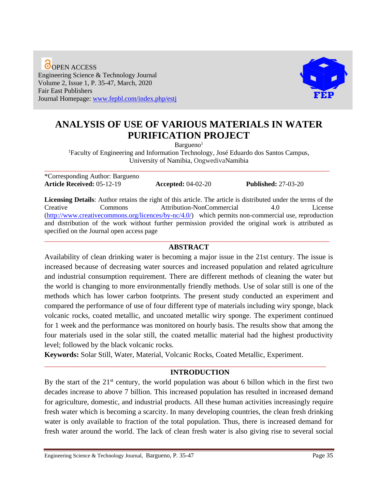O OPEN ACCESS Engineering Science & Technology Journal Volume 2, Issue 1, P. 35-47, March, 2020 Fair East Publishers Journal Homepage: [www.fepbl.com/index.php/estj](http://www.fepbl.com/index.php/estj)



# **ANALYSIS OF USE OF VARIOUS MATERIALS IN WATER PURIFICATION PROJECT**

 $Barqueno<sup>1</sup>$ 

<sup>1</sup>Faculty of Engineering and Information Technology, José Eduardo dos Santos Campus, University of Namibia, OngwedivaNamibia

\*Corresponding Author: Bargueno **Article Received:** 05-12-19 **Accepted:** 04-02-20 **Published:** 27-03-20

\_\_\_\_\_\_\_\_\_\_\_\_\_\_\_\_\_\_\_\_\_\_\_\_\_\_\_\_\_\_\_\_\_\_\_\_\_\_\_\_\_\_\_\_\_\_\_\_\_\_\_\_\_\_\_\_\_\_\_\_\_\_\_\_\_\_\_\_\_\_\_\_\_\_\_\_\_\_\_\_\_\_\_\_

**Licensing Details**: Author retains the right of this article. The article is distributed under the terms of the Creative Commons Attribution-NonCommercial 4.0 License [\(http://www.creativecommons.org/licences/by-nc/4.0/\)](http://www.creativecommons.org/licences/by-nc/4.0/) which permits non-commercial use, reproduction and distribution of the work without further permission provided the original work is attributed as specified on the Journal open access page \_\_\_\_\_\_\_\_\_\_\_\_\_\_\_\_\_\_\_\_\_\_\_\_\_\_\_\_\_\_\_\_\_\_\_\_\_\_\_\_\_\_\_\_\_\_\_\_\_\_\_\_\_\_\_\_\_\_\_\_\_\_\_\_\_\_\_\_\_\_\_\_\_\_\_\_\_\_\_\_\_\_\_\_

#### **ABSTRACT**

Availability of clean drinking water is becoming a major issue in the 21st century. The issue is increased because of decreasing water sources and increased population and related agriculture and industrial consumption requirement. There are different methods of cleaning the water but the world is changing to more environmentally friendly methods. Use of solar still is one of the methods which has lower carbon footprints. The present study conducted an experiment and compared the performance of use of four different type of materials including wiry sponge, black volcanic rocks, coated metallic, and uncoated metallic wiry sponge. The experiment continued for 1 week and the performance was monitored on hourly basis. The results show that among the four materials used in the solar still, the coated metallic material had the highest productivity level; followed by the black volcanic rocks.

**Keywords:** Solar Still, Water, Material, Volcanic Rocks, Coated Metallic, Experiment.

# **INTRODUCTION**

By the start of the  $21<sup>st</sup>$  century, the world population was about 6 billon which in the first two decades increase to above 7 billion. This increased population has resulted in increased demand for agriculture, domestic, and industrial products. All these human activities increasingly require fresh water which is becoming a scarcity. In many developing countries, the clean fresh drinking water is only available to fraction of the total population. Thus, there is increased demand for fresh water around the world. The lack of clean fresh water is also giving rise to several social

\_\_\_\_\_\_\_\_\_\_\_\_\_\_\_\_\_\_\_\_\_\_\_\_\_\_\_\_\_\_\_\_\_\_\_\_\_\_\_\_\_\_\_\_\_\_\_\_\_\_\_\_\_\_\_\_\_\_\_\_\_\_\_\_\_\_\_\_\_\_\_\_\_\_\_\_\_\_\_\_\_\_\_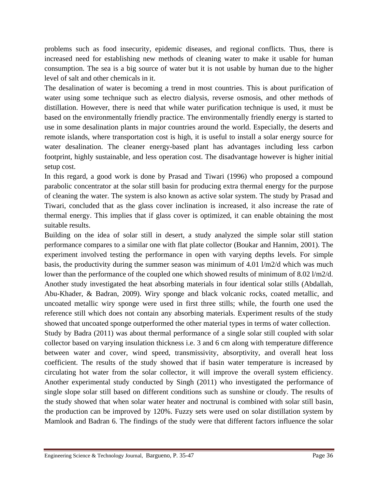problems such as food insecurity, epidemic diseases, and regional conflicts. Thus, there is increased need for establishing new methods of cleaning water to make it usable for human consumption. The sea is a big source of water but it is not usable by human due to the higher level of salt and other chemicals in it.

The desalination of water is becoming a trend in most countries. This is about purification of water using some technique such as electro dialysis, reverse osmosis, and other methods of distillation. However, there is need that while water purification technique is used, it must be based on the environmentally friendly practice. The environmentally friendly energy is started to use in some desalination plants in major countries around the world. Especially, the deserts and remote islands, where transportation cost is high, it is useful to install a solar energy source for water desalination. The cleaner energy-based plant has advantages including less carbon footprint, highly sustainable, and less operation cost. The disadvantage however is higher initial setup cost.

In this regard, a good work is done by Prasad and Tiwari (1996) who proposed a compound parabolic concentrator at the solar still basin for producing extra thermal energy for the purpose of cleaning the water. The system is also known as active solar system. The study by Prasad and Tiwari, concluded that as the glass cover inclination is increased, it also increase the rate of thermal energy. This implies that if glass cover is optimized, it can enable obtaining the most suitable results.

Building on the idea of solar still in desert, a study analyzed the simple solar still station performance compares to a similar one with flat plate collector (Boukar and Hannim, 2001). The experiment involved testing the performance in open with varying depths levels. For simple basis, the productivity during the summer season was minimum of 4.01 l/m2/d which was much lower than the performance of the coupled one which showed results of minimum of 8.02 l/m2/d. Another study investigated the heat absorbing materials in four identical solar stills (Abdallah, Abu-Khader, & Badran, 2009). Wiry sponge and black volcanic rocks, coated metallic, and uncoated metallic wiry sponge were used in first three stills; while, the fourth one used the reference still which does not contain any absorbing materials. Experiment results of the study showed that uncoated sponge outperformed the other material types in terms of water collection.

Study by Badra (2011) was about thermal performance of a single solar still coupled with solar collector based on varying insulation thickness i.e. 3 and 6 cm along with temperature difference between water and cover, wind speed, transmissivity, absorptivity, and overall heat loss coefficient. The results of the study showed that if basin water temperature is increased by circulating hot water from the solar collector, it will improve the overall system efficiency. Another experimental study conducted by Singh (2011) who investigated the performance of single slope solar still based on different conditions such as sunshine or cloudy. The results of the study showed that when solar water heater and noctrunal is combined with solar still basin, the production can be improved by 120%. Fuzzy sets were used on solar distillation system by Mamlook and Badran 6. The findings of the study were that different factors influence the solar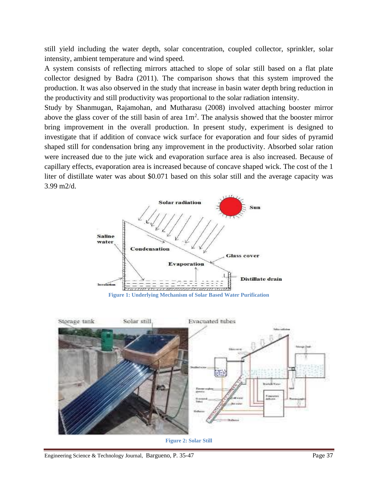still yield including the water depth, solar concentration, coupled collector, sprinkler, solar intensity, ambient temperature and wind speed.

A system consists of reflecting mirrors attached to slope of solar still based on a flat plate collector designed by Badra (2011). The comparison shows that this system improved the production. It was also observed in the study that increase in basin water depth bring reduction in the productivity and still productivity was proportional to the solar radiation intensity.

Study by Shanmugan, Rajamohan, and Mutharasu (2008) involved attaching booster mirror above the glass cover of the still basin of area  $1m<sup>2</sup>$ . The analysis showed that the booster mirror bring improvement in the overall production. In present study, experiment is designed to investigate that if addition of convace wick surface for evaporation and four sides of pyramid shaped still for condensation bring any improvement in the productivity. Absorbed solar ration were increased due to the jute wick and evaporation surface area is also increased. Because of capillary effects, evaporation area is increased because of concave shaped wick. The cost of the 1 liter of distillate water was about \$0.071 based on this solar still and the average capacity was 3.99 m2/d.



**Figure 1: Underlying Mechanism of Solar Based Water Purification**



**Figure 2: Solar Still**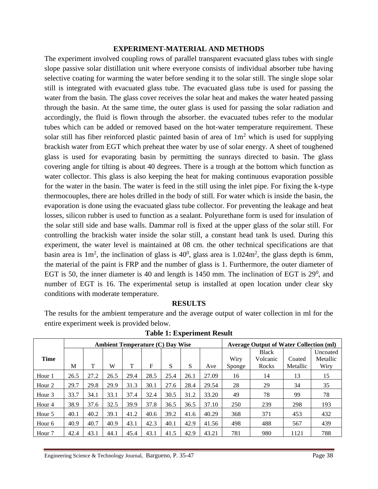#### **EXPERIMENT-MATERIAL AND METHODS**

The experiment involved coupling rows of parallel transparent evacuated glass tubes with single slope passive solar distillation unit where everyone consists of individual absorber tube having selective coating for warming the water before sending it to the solar still. The single slope solar still is integrated with evacuated glass tube. The evacuated glass tube is used for passing the water from the basin. The glass cover receives the solar heat and makes the water heated passing through the basin. At the same time, the outer glass is used for passing the solar radiation and accordingly, the fluid is flown through the absorber. the evacuated tubes refer to the modular tubes which can be added or removed based on the hot-water temperature requirement. These solar still has fiber reinforced plastic painted basin of area of  $1m<sup>2</sup>$  which is used for supplying brackish water from EGT which preheat thee water by use of solar energy. A sheet of toughened glass is used for evaporating basin by permitting the sunrays directed to basin. The glass covering angle for tilting is about 40 degrees. There is a trough at the bottom which function as water collector. This glass is also keeping the heat for making continuous evaporation possible for the water in the basin. The water is feed in the still using the inlet pipe. For fixing the k-type thermocouples, there are holes drilled in the body of still. For water which is inside the basin, the evaporation is done using the evacuated glass tube collector. For preventing the leakage and heat losses, silicon rubber is used to function as a sealant. Polyurethane form is used for insulation of the solar still side and base walls. Dammar roll is fixed at the upper glass of the solar still. For controlling the brackish water inside the solar still, a constant head tank Is used. During this experiment, the water level is maintained at 08 cm. the other technical specifications are that basin area is  $1m^2$ , the inclination of glass is  $40^0$ , glass area is  $1.024m^2$ , the glass depth is 6mm, the material of the paint is FRP and the number of glass is 1. Furthermore, the outer diameter of EGT is 50, the inner diameter is 40 and length is  $1450$  mm. The inclination of EGT is  $29^0$ , and number of EGT is 16. The experimental setup is installed at open location under clear sky conditions with moderate temperature.

# **RESULTS**

The results for the ambient temperature and the average output of water collection in ml for the entire experiment week is provided below.

|                   | <b>Ambient Temperature (C) Day Wise</b> |      |      |      |      |      |      |       | <b>Average Output of Water Collection (ml)</b> |              |          |          |  |
|-------------------|-----------------------------------------|------|------|------|------|------|------|-------|------------------------------------------------|--------------|----------|----------|--|
|                   |                                         |      |      |      |      |      |      |       |                                                | <b>Black</b> |          | Uncoated |  |
| <b>Time</b>       |                                         |      |      |      |      |      |      |       | Wiry                                           | Volcanic     | Coated   | Metallic |  |
|                   | M                                       | т    | W    | T    | F    | S    | S    | Ave   | Sponge                                         | Rocks        | Metallic | Wiry     |  |
| Hour 1            | 26.5                                    | 27.2 | 26.5 | 29.4 | 28.5 | 25.4 | 26.1 | 27.09 | 16                                             | 14           | 13       | 15       |  |
| Hour <sub>2</sub> | 29.7                                    | 29.8 | 29.9 | 31.3 | 30.1 | 27.6 | 28.4 | 29.54 | 28                                             | 29           | 34       | 35       |  |
| Hour <sub>3</sub> | 33.7                                    | 34.1 | 33.1 | 37.4 | 32.4 | 30.5 | 31.2 | 33.20 | 49                                             | 78           | 99       | 78       |  |
| Hour <sub>4</sub> | 38.9                                    | 37.6 | 32.5 | 39.9 | 37.8 | 36.5 | 36.5 | 37.10 | 250                                            | 239          | 298      | 193      |  |
| Hour 5            | 40.1                                    | 40.2 | 39.1 | 41.2 | 40.6 | 39.2 | 41.6 | 40.29 | 368                                            | 371          | 453      | 432      |  |
| Hour <sub>6</sub> | 40.9                                    | 40.7 | 40.9 | 43.1 | 42.3 | 40.1 | 42.9 | 41.56 | 498                                            | 488          | 567      | 439      |  |
| Hour <sub>7</sub> | 42.4                                    | 43.1 | 44.1 | 45.4 | 43.1 | 41.5 | 42.9 | 43.21 | 781                                            | 980          | 1121     | 788      |  |

**Table 1: Experiment Result**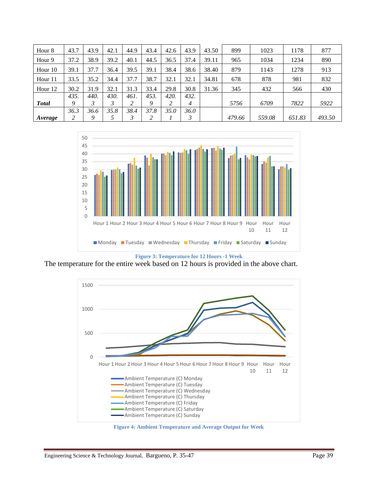| Hour <sub>8</sub> | 43.7 | 43.9 | 42.1 | 44.9 | 43.4 | 42.6 | 43.9 | 43.50 | 899    | 1023   | 1178   | 877    |
|-------------------|------|------|------|------|------|------|------|-------|--------|--------|--------|--------|
| Hour 9            | 37.2 | 38.9 | 39.2 | 40.1 | 44.5 | 36.5 | 37.4 | 39.11 | 965    | 1034   | 1234   | 890    |
| Hour 10           | 39.1 | 37.7 | 36.4 | 39.5 | 39.1 | 38.4 | 38.6 | 38.40 | 879    | 1143   | 1278   | 913    |
| Hour 11           | 33.5 | 35.2 | 34.4 | 37.7 | 38.7 | 32.1 | 32.1 | 34.81 | 678    | 878    | 981    | 832    |
| Hour 12           | 30.2 | 31.9 | 32.1 | 31.3 | 33.4 | 29.8 | 30.8 | 31.36 | 345    | 432    | 566    | 430    |
|                   | 435. | 440. | 430. | 461. | 453. | 420. | 432. |       |        |        |        |        |
| <b>Total</b>      | Q    | 3    |      |      | 9    |      | 4    |       | 5756   | 6709   | 7822   | 5922   |
|                   | 36.3 | 36.6 | 35.8 | 38.4 | 37.8 | 35.0 | 36.0 |       |        |        |        |        |
| Average           |      | 9    |      |      | 2    |      |      |       | 479.66 | 559.08 | 651.83 | 493.50 |



**Figure 3: Temperature for 12 Hours -1 Week**

The temperature for the entire week based on 12 hours is provided in the above chart.



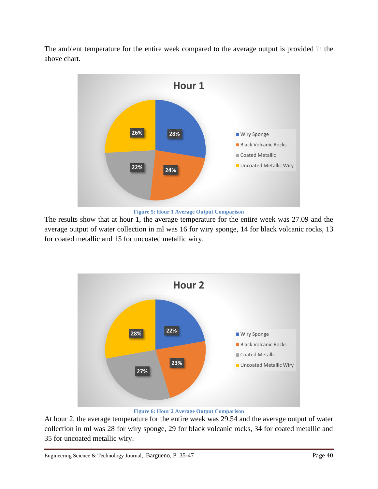The ambient temperature for the entire week compared to the average output is provided in the above chart.



**Figure 5: Hour 1 Average Output Comparison**

The results show that at hour 1, the average temperature for the entire week was 27.09 and the average output of water collection in ml was 16 for wiry sponge, 14 for black volcanic rocks, 13 for coated metallic and 15 for uncoated metallic wiry.



**Figure 6: Hour 2 Average Output Comparison**

At hour 2, the average temperature for the entire week was 29.54 and the average output of water collection in ml was 28 for wiry sponge, 29 for black volcanic rocks, 34 for coated metallic and 35 for uncoated metallic wiry.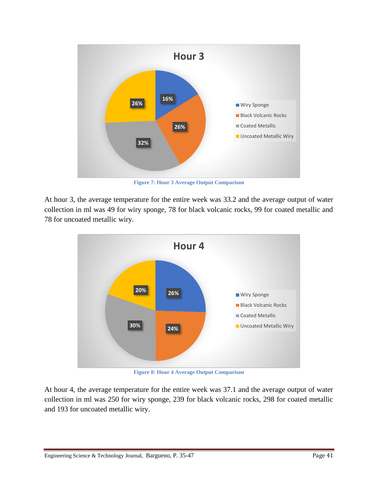

**Figure 7: Hour 3 Average Output Comparison**

At hour 3, the average temperature for the entire week was 33.2 and the average output of water collection in ml was 49 for wiry sponge, 78 for black volcanic rocks, 99 for coated metallic and 78 for uncoated metallic wiry.



**Figure 8: Hour 4 Average Output Comparison**

At hour 4, the average temperature for the entire week was 37.1 and the average output of water collection in ml was 250 for wiry sponge, 239 for black volcanic rocks, 298 for coated metallic and 193 for uncoated metallic wiry.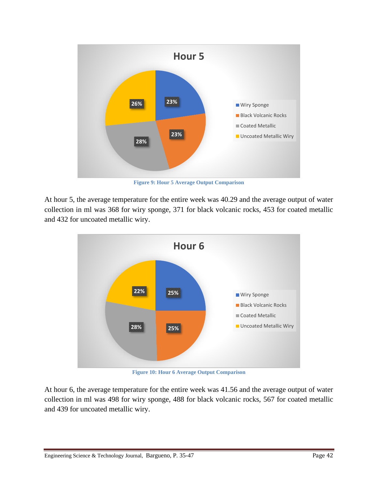

**Figure 9: Hour 5 Average Output Comparison**

At hour 5, the average temperature for the entire week was 40.29 and the average output of water collection in ml was 368 for wiry sponge, 371 for black volcanic rocks, 453 for coated metallic and 432 for uncoated metallic wiry.



**Figure 10: Hour 6 Average Output Comparison**

At hour 6, the average temperature for the entire week was 41.56 and the average output of water collection in ml was 498 for wiry sponge, 488 for black volcanic rocks, 567 for coated metallic and 439 for uncoated metallic wiry.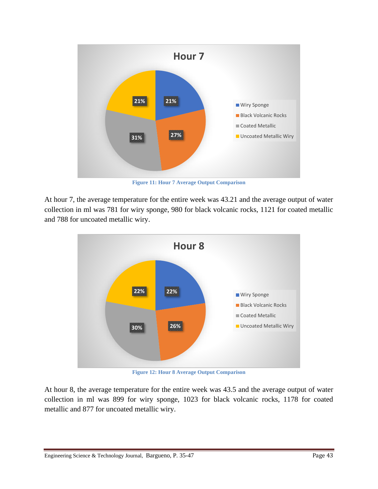

**Figure 11: Hour 7 Average Output Comparison**

At hour 7, the average temperature for the entire week was 43.21 and the average output of water collection in ml was 781 for wiry sponge, 980 for black volcanic rocks, 1121 for coated metallic and 788 for uncoated metallic wiry.



**Figure 12: Hour 8 Average Output Comparison**

At hour 8, the average temperature for the entire week was 43.5 and the average output of water collection in ml was 899 for wiry sponge, 1023 for black volcanic rocks, 1178 for coated metallic and 877 for uncoated metallic wiry.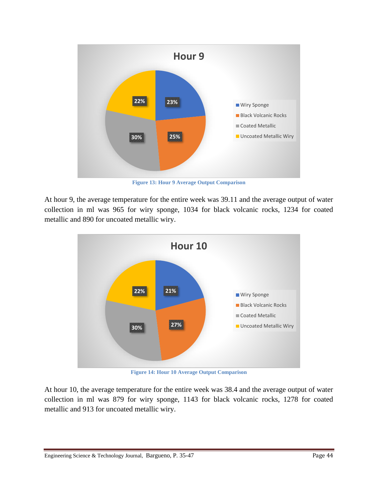

**Figure 13: Hour 9 Average Output Comparison**

At hour 9, the average temperature for the entire week was 39.11 and the average output of water collection in ml was 965 for wiry sponge, 1034 for black volcanic rocks, 1234 for coated metallic and 890 for uncoated metallic wiry.



**Figure 14: Hour 10 Average Output Comparison**

At hour 10, the average temperature for the entire week was 38.4 and the average output of water collection in ml was 879 for wiry sponge, 1143 for black volcanic rocks, 1278 for coated metallic and 913 for uncoated metallic wiry.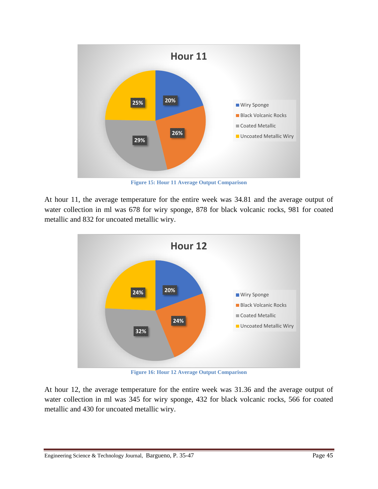

**Figure 15: Hour 11 Average Output Comparison**

At hour 11, the average temperature for the entire week was 34.81 and the average output of water collection in ml was 678 for wiry sponge, 878 for black volcanic rocks, 981 for coated metallic and 832 for uncoated metallic wiry.



**Figure 16: Hour 12 Average Output Comparison**

At hour 12, the average temperature for the entire week was 31.36 and the average output of water collection in ml was 345 for wiry sponge, 432 for black volcanic rocks, 566 for coated metallic and 430 for uncoated metallic wiry.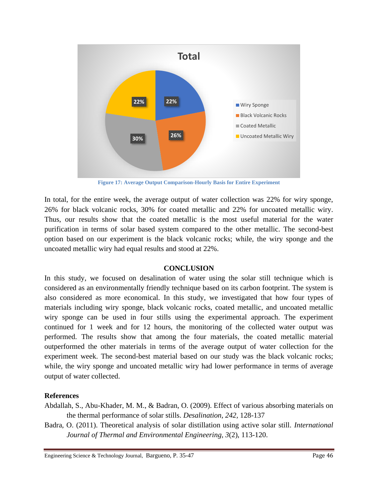

**Figure 17: Average Output Comparison-Hourly Basis for Entire Experiment**

In total, for the entire week, the average output of water collection was 22% for wiry sponge, 26% for black volcanic rocks, 30% for coated metallic and 22% for uncoated metallic wiry. Thus, our results show that the coated metallic is the most useful material for the water purification in terms of solar based system compared to the other metallic. The second-best option based on our experiment is the black volcanic rocks; while, the wiry sponge and the uncoated metallic wiry had equal results and stood at 22%.

# **CONCLUSION**

In this study, we focused on desalination of water using the solar still technique which is considered as an environmentally friendly technique based on its carbon footprint. The system is also considered as more economical. In this study, we investigated that how four types of materials including wiry sponge, black volcanic rocks, coated metallic, and uncoated metallic wiry sponge can be used in four stills using the experimental approach. The experiment continued for 1 week and for 12 hours, the monitoring of the collected water output was performed. The results show that among the four materials, the coated metallic material outperformed the other materials in terms of the average output of water collection for the experiment week. The second-best material based on our study was the black volcanic rocks; while, the wiry sponge and uncoated metallic wiry had lower performance in terms of average output of water collected.

# **References**

- Abdallah, S., Abu-Khader, M. M., & Badran, O. (2009). Effect of various absorbing materials on the thermal performance of solar stills. *Desalination, 242,* 128-137
- Badra, O. (2011). Theoretical analysis of solar distillation using active solar still. *International Journal of Thermal and Environmental Engineering, 3*(2), 113-120.